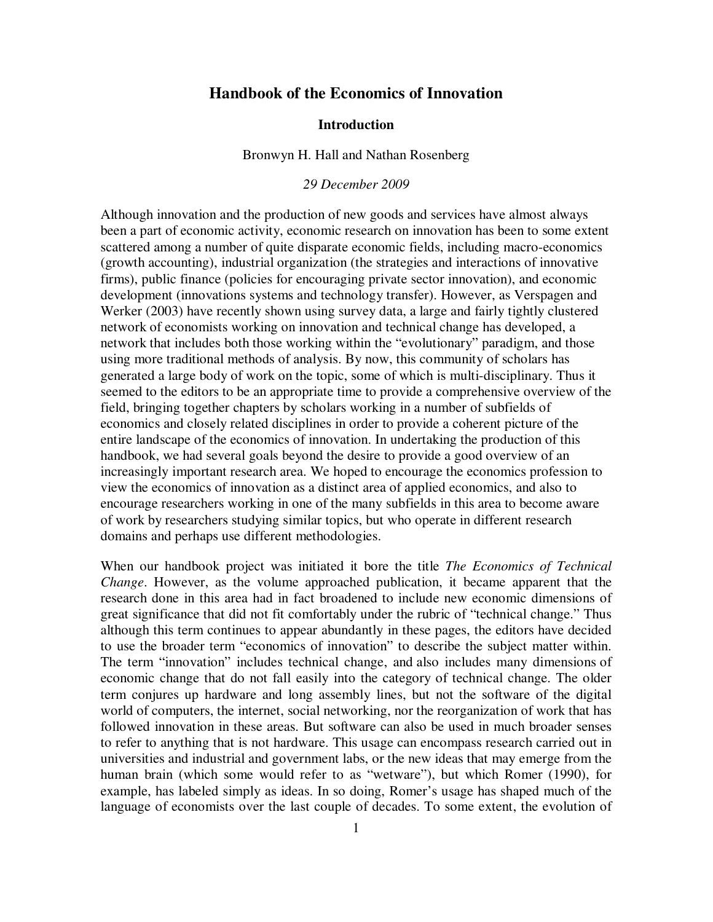## **Handbook of the Economics of Innovation**

### **Introduction**

### Bronwyn H. Hall and Nathan Rosenberg

#### *29 December 2009*

Although innovation and the production of new goods and services have almost always been a part of economic activity, economic research on innovation has been to some extent scattered among a number of quite disparate economic fields, including macro-economics (growth accounting), industrial organization (the strategies and interactions of innovative firms), public finance (policies for encouraging private sector innovation), and economic development (innovations systems and technology transfer). However, as Verspagen and Werker (2003) have recently shown using survey data, a large and fairly tightly clustered network of economists working on innovation and technical change has developed, a network that includes both those working within the "evolutionary" paradigm, and those using more traditional methods of analysis. By now, this community of scholars has generated a large body of work on the topic, some of which is multi-disciplinary. Thus it seemed to the editors to be an appropriate time to provide a comprehensive overview of the field, bringing together chapters by scholars working in a number of subfields of economics and closely related disciplines in order to provide a coherent picture of the entire landscape of the economics of innovation. In undertaking the production of this handbook, we had several goals beyond the desire to provide a good overview of an increasingly important research area. We hoped to encourage the economics profession to view the economics of innovation as a distinct area of applied economics, and also to encourage researchers working in one of the many subfields in this area to become aware of work by researchers studying similar topics, but who operate in different research domains and perhaps use different methodologies.

When our handbook project was initiated it bore the title *The Economics of Technical Change*. However, as the volume approached publication, it became apparent that the research done in this area had in fact broadened to include new economic dimensions of great significance that did not fit comfortably under the rubric of "technical change." Thus although this term continues to appear abundantly in these pages, the editors have decided to use the broader term "economics of innovation" to describe the subject matter within. The term "innovation" includes technical change, and also includes many dimensions of economic change that do not fall easily into the category of technical change. The older term conjures up hardware and long assembly lines, but not the software of the digital world of computers, the internet, social networking, nor the reorganization of work that has followed innovation in these areas. But software can also be used in much broader senses to refer to anything that is not hardware. This usage can encompass research carried out in universities and industrial and government labs, or the new ideas that may emerge from the human brain (which some would refer to as "wetware"), but which Romer (1990), for example, has labeled simply as ideas. In so doing, Romer's usage has shaped much of the language of economists over the last couple of decades. To some extent, the evolution of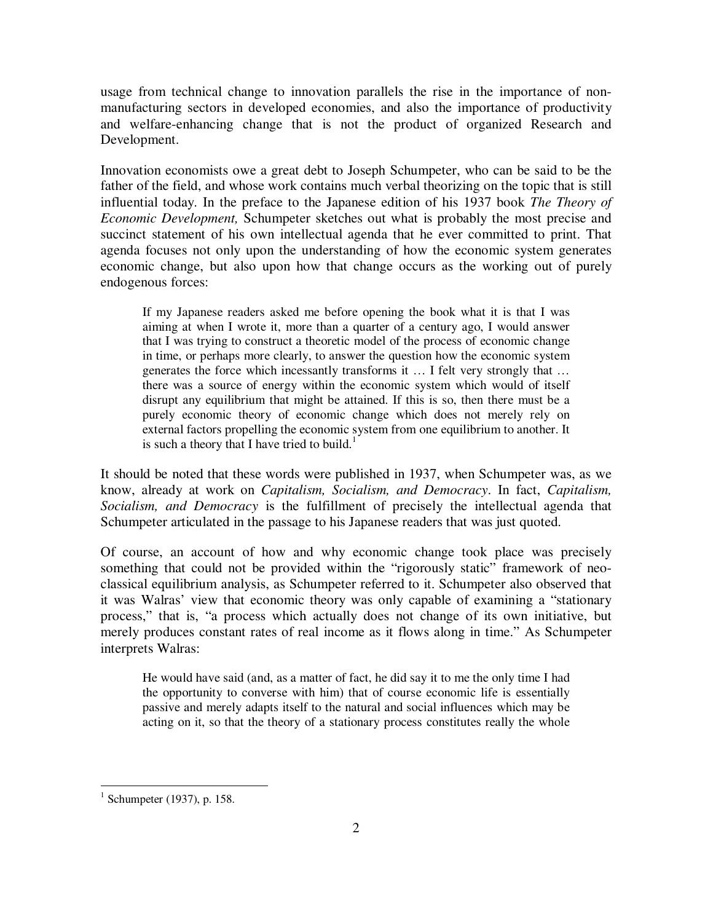usage from technical change to innovation parallels the rise in the importance of nonmanufacturing sectors in developed economies, and also the importance of productivity and welfare-enhancing change that is not the product of organized Research and Development.

Innovation economists owe a great debt to Joseph Schumpeter, who can be said to be the father of the field, and whose work contains much verbal theorizing on the topic that is still influential today. In the preface to the Japanese edition of his 1937 book *The Theory of Economic Development,* Schumpeter sketches out what is probably the most precise and succinct statement of his own intellectual agenda that he ever committed to print. That agenda focuses not only upon the understanding of how the economic system generates economic change, but also upon how that change occurs as the working out of purely endogenous forces:

If my Japanese readers asked me before opening the book what it is that I was aiming at when I wrote it, more than a quarter of a century ago, I would answer that I was trying to construct a theoretic model of the process of economic change in time, or perhaps more clearly, to answer the question how the economic system generates the force which incessantly transforms it … I felt very strongly that … there was a source of energy within the economic system which would of itself disrupt any equilibrium that might be attained. If this is so, then there must be a purely economic theory of economic change which does not merely rely on external factors propelling the economic system from one equilibrium to another. It is such a theory that I have tried to build.<sup>1</sup>

It should be noted that these words were published in 1937, when Schumpeter was, as we know, already at work on *Capitalism, Socialism, and Democracy*. In fact, *Capitalism, Socialism, and Democracy* is the fulfillment of precisely the intellectual agenda that Schumpeter articulated in the passage to his Japanese readers that was just quoted.

Of course, an account of how and why economic change took place was precisely something that could not be provided within the "rigorously static" framework of neoclassical equilibrium analysis, as Schumpeter referred to it. Schumpeter also observed that it was Walras' view that economic theory was only capable of examining a "stationary process," that is, "a process which actually does not change of its own initiative, but merely produces constant rates of real income as it flows along in time." As Schumpeter interprets Walras:

He would have said (and, as a matter of fact, he did say it to me the only time I had the opportunity to converse with him) that of course economic life is essentially passive and merely adapts itself to the natural and social influences which may be acting on it, so that the theory of a stationary process constitutes really the whole

 $\overline{a}$ 

<sup>1</sup> Schumpeter (1937), p. 158.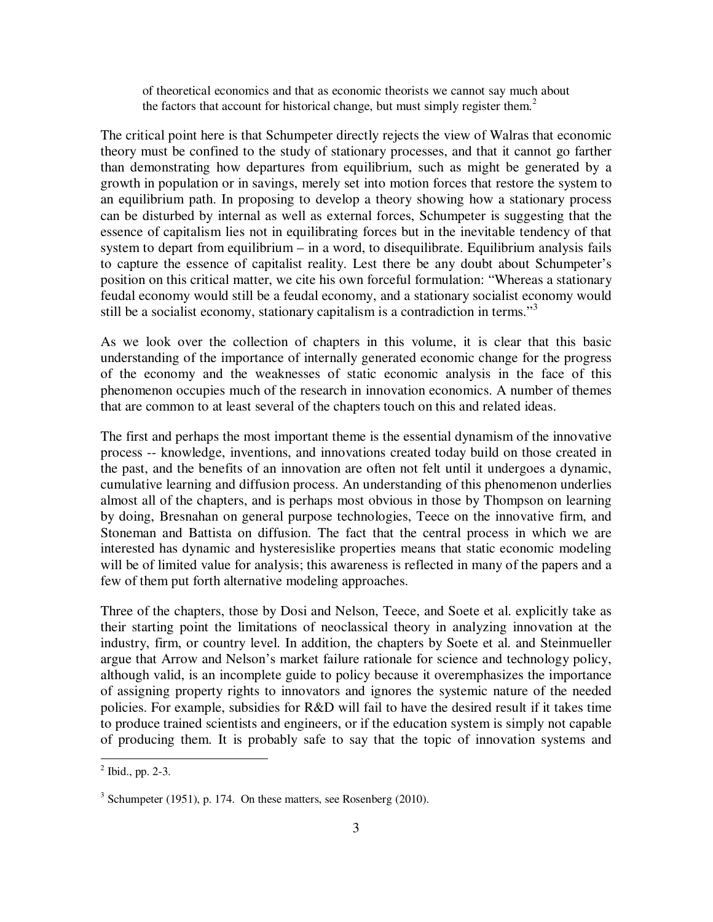of theoretical economics and that as economic theorists we cannot say much about the factors that account for historical change, but must simply register them.<sup>2</sup>

The critical point here is that Schumpeter directly rejects the view of Walras that economic theory must be confined to the study of stationary processes, and that it cannot go farther than demonstrating how departures from equilibrium, such as might be generated by a growth in population or in savings, merely set into motion forces that restore the system to an equilibrium path. In proposing to develop a theory showing how a stationary process can be disturbed by internal as well as external forces, Schumpeter is suggesting that the essence of capitalism lies not in equilibrating forces but in the inevitable tendency of that system to depart from equilibrium – in a word, to disequilibrate. Equilibrium analysis fails to capture the essence of capitalist reality. Lest there be any doubt about Schumpeter's position on this critical matter, we cite his own forceful formulation: "Whereas a stationary feudal economy would still be a feudal economy, and a stationary socialist economy would still be a socialist economy, stationary capitalism is a contradiction in terms."<sup>3</sup>

As we look over the collection of chapters in this volume, it is clear that this basic understanding of the importance of internally generated economic change for the progress of the economy and the weaknesses of static economic analysis in the face of this phenomenon occupies much of the research in innovation economics. A number of themes that are common to at least several of the chapters touch on this and related ideas.

The first and perhaps the most important theme is the essential dynamism of the innovative process -- knowledge, inventions, and innovations created today build on those created in the past, and the benefits of an innovation are often not felt until it undergoes a dynamic, cumulative learning and diffusion process. An understanding of this phenomenon underlies almost all of the chapters, and is perhaps most obvious in those by Thompson on learning by doing, Bresnahan on general purpose technologies, Teece on the innovative firm, and Stoneman and Battista on diffusion. The fact that the central process in which we are interested has dynamic and hysteresislike properties means that static economic modeling will be of limited value for analysis; this awareness is reflected in many of the papers and a few of them put forth alternative modeling approaches.

Three of the chapters, those by Dosi and Nelson, Teece, and Soete et al. explicitly take as their starting point the limitations of neoclassical theory in analyzing innovation at the industry, firm, or country level. In addition, the chapters by Soete et al. and Steinmueller argue that Arrow and Nelson's market failure rationale for science and technology policy, although valid, is an incomplete guide to policy because it overemphasizes the importance of assigning property rights to innovators and ignores the systemic nature of the needed policies. For example, subsidies for R&D will fail to have the desired result if it takes time to produce trained scientists and engineers, or if the education system is simply not capable of producing them. It is probably safe to say that the topic of innovation systems and

 $\frac{1}{2}$  Ibid., pp. 2-3.

 $3$  Schumpeter (1951), p. 174. On these matters, see Rosenberg (2010).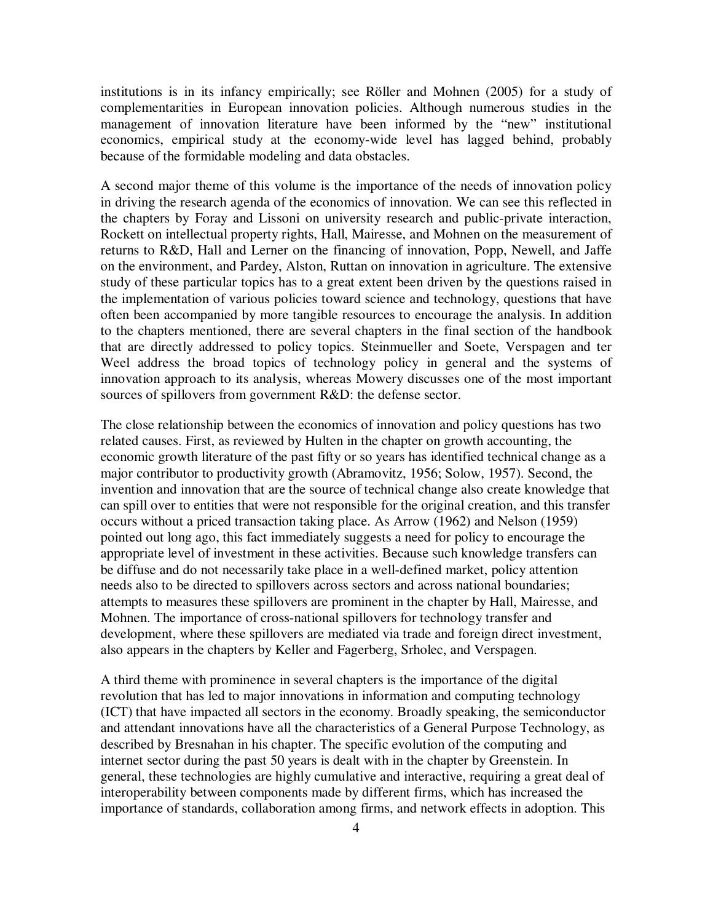institutions is in its infancy empirically; see Röller and Mohnen (2005) for a study of complementarities in European innovation policies. Although numerous studies in the management of innovation literature have been informed by the "new" institutional economics, empirical study at the economy-wide level has lagged behind, probably because of the formidable modeling and data obstacles.

A second major theme of this volume is the importance of the needs of innovation policy in driving the research agenda of the economics of innovation. We can see this reflected in the chapters by Foray and Lissoni on university research and public-private interaction, Rockett on intellectual property rights, Hall, Mairesse, and Mohnen on the measurement of returns to R&D, Hall and Lerner on the financing of innovation, Popp, Newell, and Jaffe on the environment, and Pardey, Alston, Ruttan on innovation in agriculture. The extensive study of these particular topics has to a great extent been driven by the questions raised in the implementation of various policies toward science and technology, questions that have often been accompanied by more tangible resources to encourage the analysis. In addition to the chapters mentioned, there are several chapters in the final section of the handbook that are directly addressed to policy topics. Steinmueller and Soete, Verspagen and ter Weel address the broad topics of technology policy in general and the systems of innovation approach to its analysis, whereas Mowery discusses one of the most important sources of spillovers from government R&D: the defense sector.

The close relationship between the economics of innovation and policy questions has two related causes. First, as reviewed by Hulten in the chapter on growth accounting, the economic growth literature of the past fifty or so years has identified technical change as a major contributor to productivity growth (Abramovitz, 1956; Solow, 1957). Second, the invention and innovation that are the source of technical change also create knowledge that can spill over to entities that were not responsible for the original creation, and this transfer occurs without a priced transaction taking place. As Arrow (1962) and Nelson (1959) pointed out long ago, this fact immediately suggests a need for policy to encourage the appropriate level of investment in these activities. Because such knowledge transfers can be diffuse and do not necessarily take place in a well-defined market, policy attention needs also to be directed to spillovers across sectors and across national boundaries; attempts to measures these spillovers are prominent in the chapter by Hall, Mairesse, and Mohnen. The importance of cross-national spillovers for technology transfer and development, where these spillovers are mediated via trade and foreign direct investment, also appears in the chapters by Keller and Fagerberg, Srholec, and Verspagen.

A third theme with prominence in several chapters is the importance of the digital revolution that has led to major innovations in information and computing technology (ICT) that have impacted all sectors in the economy. Broadly speaking, the semiconductor and attendant innovations have all the characteristics of a General Purpose Technology, as described by Bresnahan in his chapter. The specific evolution of the computing and internet sector during the past 50 years is dealt with in the chapter by Greenstein. In general, these technologies are highly cumulative and interactive, requiring a great deal of interoperability between components made by different firms, which has increased the importance of standards, collaboration among firms, and network effects in adoption. This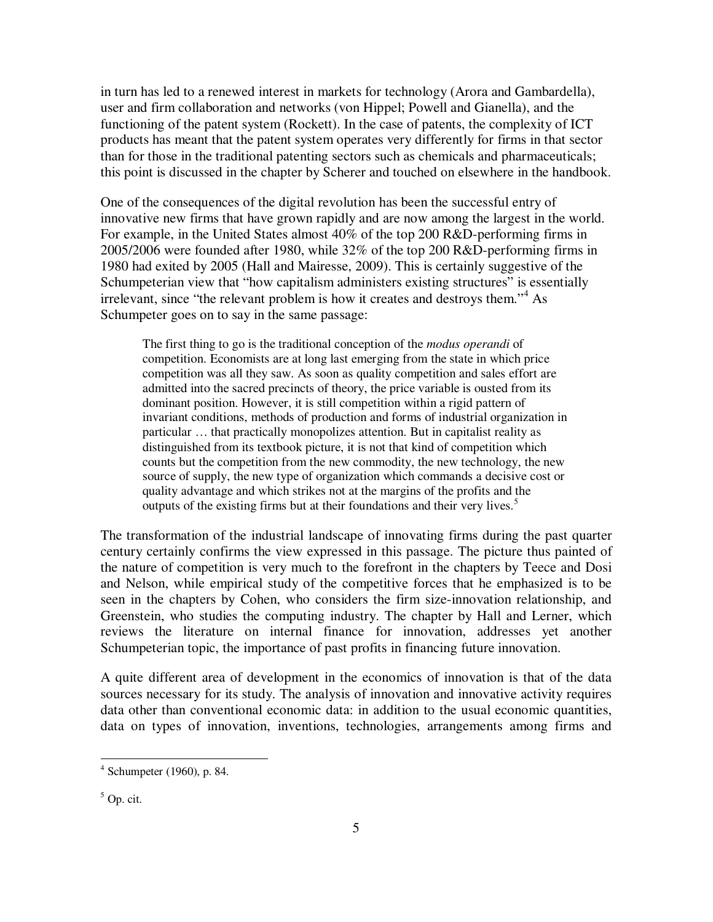in turn has led to a renewed interest in markets for technology (Arora and Gambardella), user and firm collaboration and networks (von Hippel; Powell and Gianella), and the functioning of the patent system (Rockett). In the case of patents, the complexity of ICT products has meant that the patent system operates very differently for firms in that sector than for those in the traditional patenting sectors such as chemicals and pharmaceuticals; this point is discussed in the chapter by Scherer and touched on elsewhere in the handbook.

One of the consequences of the digital revolution has been the successful entry of innovative new firms that have grown rapidly and are now among the largest in the world. For example, in the United States almost 40% of the top 200 R&D-performing firms in 2005/2006 were founded after 1980, while 32% of the top 200 R&D-performing firms in 1980 had exited by 2005 (Hall and Mairesse, 2009). This is certainly suggestive of the Schumpeterian view that "how capitalism administers existing structures" is essentially irrelevant, since "the relevant problem is how it creates and destroys them."<sup>4</sup> As Schumpeter goes on to say in the same passage:

The first thing to go is the traditional conception of the *modus operandi* of competition. Economists are at long last emerging from the state in which price competition was all they saw. As soon as quality competition and sales effort are admitted into the sacred precincts of theory, the price variable is ousted from its dominant position. However, it is still competition within a rigid pattern of invariant conditions, methods of production and forms of industrial organization in particular … that practically monopolizes attention. But in capitalist reality as distinguished from its textbook picture, it is not that kind of competition which counts but the competition from the new commodity, the new technology, the new source of supply, the new type of organization which commands a decisive cost or quality advantage and which strikes not at the margins of the profits and the outputs of the existing firms but at their foundations and their very lives.<sup>5</sup>

The transformation of the industrial landscape of innovating firms during the past quarter century certainly confirms the view expressed in this passage. The picture thus painted of the nature of competition is very much to the forefront in the chapters by Teece and Dosi and Nelson, while empirical study of the competitive forces that he emphasized is to be seen in the chapters by Cohen, who considers the firm size-innovation relationship, and Greenstein, who studies the computing industry. The chapter by Hall and Lerner, which reviews the literature on internal finance for innovation, addresses yet another Schumpeterian topic, the importance of past profits in financing future innovation.

A quite different area of development in the economics of innovation is that of the data sources necessary for its study. The analysis of innovation and innovative activity requires data other than conventional economic data: in addition to the usual economic quantities, data on types of innovation, inventions, technologies, arrangements among firms and

 4 Schumpeter (1960), p. 84.

 $<sup>5</sup>$  Op. cit.</sup>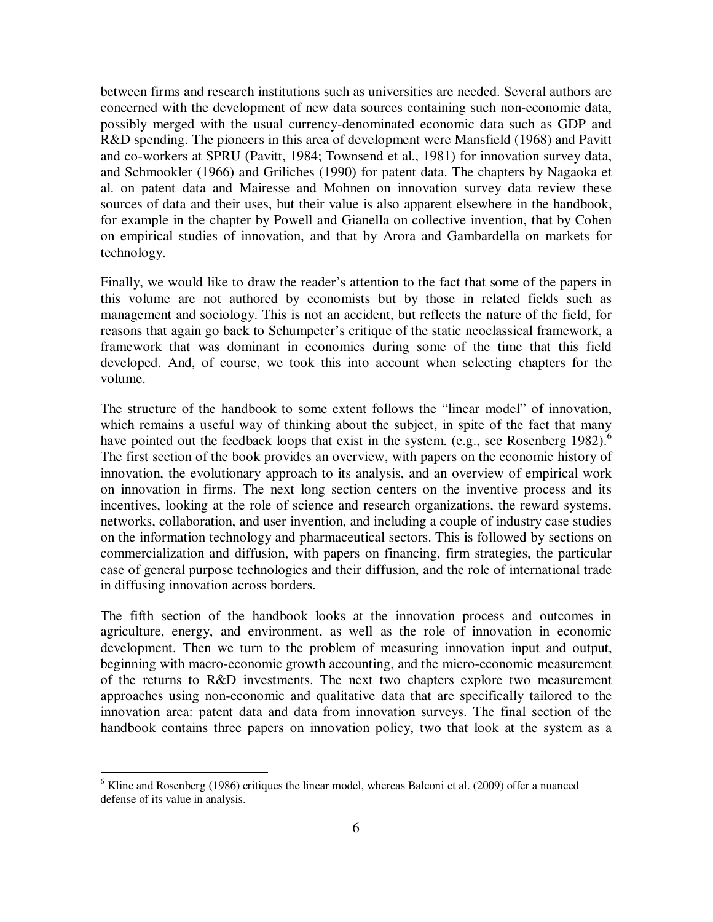between firms and research institutions such as universities are needed. Several authors are concerned with the development of new data sources containing such non-economic data, possibly merged with the usual currency-denominated economic data such as GDP and R&D spending. The pioneers in this area of development were Mansfield (1968) and Pavitt and co-workers at SPRU (Pavitt, 1984; Townsend et al., 1981) for innovation survey data, and Schmookler (1966) and Griliches (1990) for patent data. The chapters by Nagaoka et al. on patent data and Mairesse and Mohnen on innovation survey data review these sources of data and their uses, but their value is also apparent elsewhere in the handbook, for example in the chapter by Powell and Gianella on collective invention, that by Cohen on empirical studies of innovation, and that by Arora and Gambardella on markets for technology.

Finally, we would like to draw the reader's attention to the fact that some of the papers in this volume are not authored by economists but by those in related fields such as management and sociology. This is not an accident, but reflects the nature of the field, for reasons that again go back to Schumpeter's critique of the static neoclassical framework, a framework that was dominant in economics during some of the time that this field developed. And, of course, we took this into account when selecting chapters for the volume.

The structure of the handbook to some extent follows the "linear model" of innovation, which remains a useful way of thinking about the subject, in spite of the fact that many have pointed out the feedback loops that exist in the system. (e.g., see Rosenberg 1982).<sup>6</sup> The first section of the book provides an overview, with papers on the economic history of innovation, the evolutionary approach to its analysis, and an overview of empirical work on innovation in firms. The next long section centers on the inventive process and its incentives, looking at the role of science and research organizations, the reward systems, networks, collaboration, and user invention, and including a couple of industry case studies on the information technology and pharmaceutical sectors. This is followed by sections on commercialization and diffusion, with papers on financing, firm strategies, the particular case of general purpose technologies and their diffusion, and the role of international trade in diffusing innovation across borders.

The fifth section of the handbook looks at the innovation process and outcomes in agriculture, energy, and environment, as well as the role of innovation in economic development. Then we turn to the problem of measuring innovation input and output, beginning with macro-economic growth accounting, and the micro-economic measurement of the returns to R&D investments. The next two chapters explore two measurement approaches using non-economic and qualitative data that are specifically tailored to the innovation area: patent data and data from innovation surveys. The final section of the handbook contains three papers on innovation policy, two that look at the system as a

 $\overline{a}$ 

<sup>&</sup>lt;sup>6</sup> Kline and Rosenberg (1986) critiques the linear model, whereas Balconi et al. (2009) offer a nuanced defense of its value in analysis.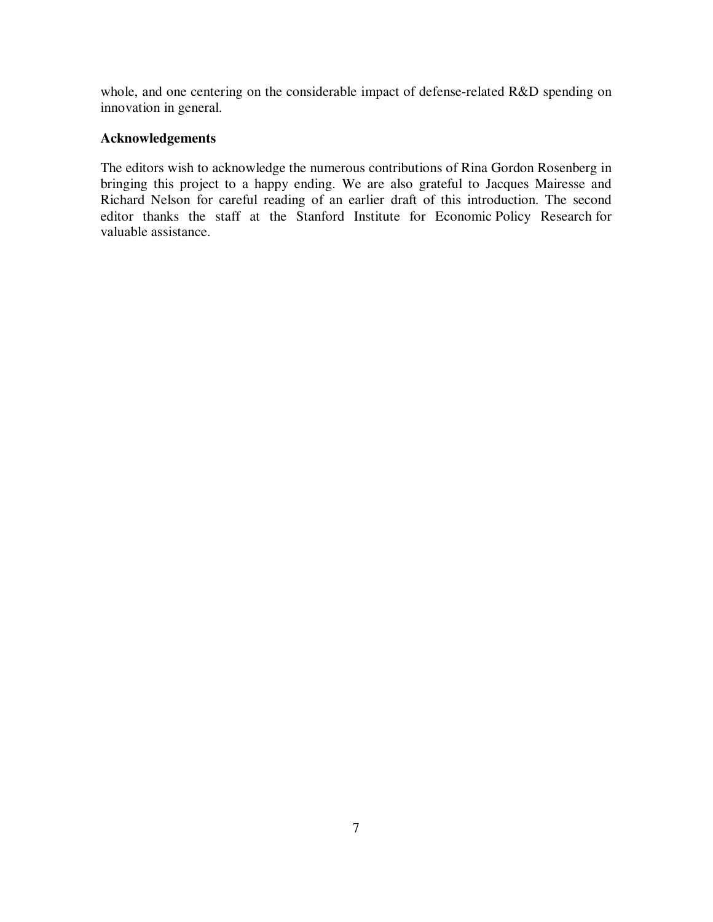whole, and one centering on the considerable impact of defense-related R&D spending on innovation in general.

## **Acknowledgements**

The editors wish to acknowledge the numerous contributions of Rina Gordon Rosenberg in bringing this project to a happy ending. We are also grateful to Jacques Mairesse and Richard Nelson for careful reading of an earlier draft of this introduction. The second editor thanks the staff at the Stanford Institute for Economic Policy Research for valuable assistance.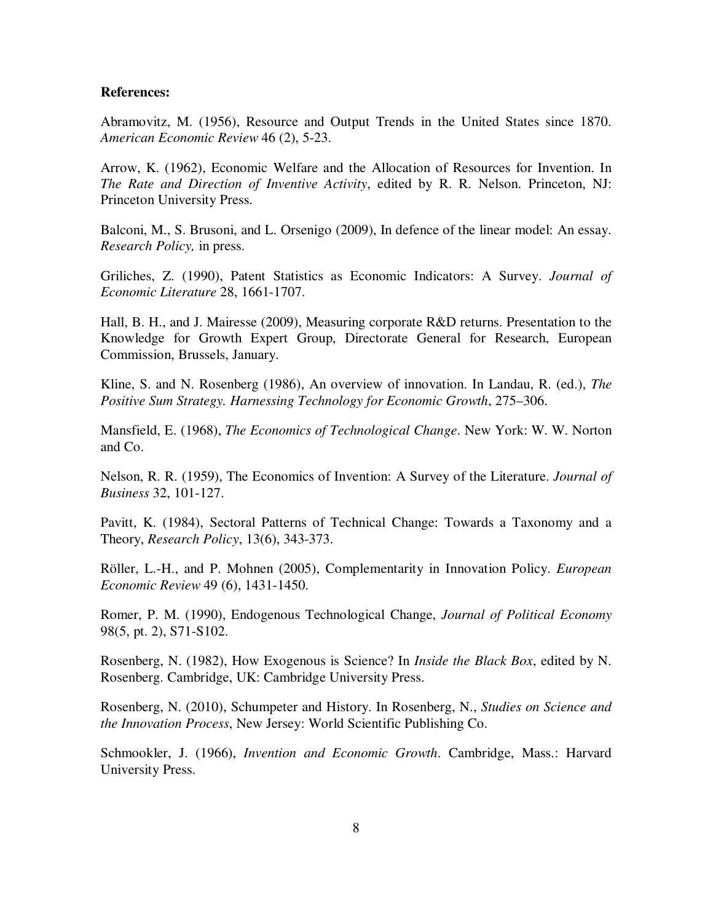### **References:**

Abramovitz, M. (1956), Resource and Output Trends in the United States since 1870. *American Economic Review* 46 (2), 5-23.

Arrow, K. (1962), Economic Welfare and the Allocation of Resources for Invention. In *The Rate and Direction of Inventive Activity*, edited by R. R. Nelson. Princeton, NJ: Princeton University Press.

Balconi, M., S. Brusoni, and L. Orsenigo (2009), In defence of the linear model: An essay. *Research Policy,* in press.

Griliches, Z. (1990), Patent Statistics as Economic Indicators: A Survey. *Journal of Economic Literature* 28, 1661-1707.

Hall, B. H., and J. Mairesse (2009), Measuring corporate R&D returns. Presentation to the Knowledge for Growth Expert Group, Directorate General for Research, European Commission, Brussels, January.

Kline, S. and N. Rosenberg (1986), An overview of innovation. In Landau, R. (ed.), *The Positive Sum Strategy. Harnessing Technology for Economic Growth*, 275–306.

Mansfield, E. (1968), *The Economics of Technological Change*. New York: W. W. Norton and Co.

Nelson, R. R. (1959), The Economics of Invention: A Survey of the Literature. *Journal of Business* 32, 101-127.

Pavitt, K. (1984), Sectoral Patterns of Technical Change: Towards a Taxonomy and a Theory, *Research Policy*, 13(6), 343-373.

Röller, L.-H., and P. Mohnen (2005), Complementarity in Innovation Policy. *European Economic Review* 49 (6), 1431-1450.

Romer, P. M. (1990), Endogenous Technological Change, *Journal of Political Economy* 98(5, pt. 2), S71-S102.

Rosenberg, N. (1982), How Exogenous is Science? In *Inside the Black Box*, edited by N. Rosenberg. Cambridge, UK: Cambridge University Press.

Rosenberg, N. (2010), Schumpeter and History. In Rosenberg, N., *Studies on Science and the Innovation Process*, New Jersey: World Scientific Publishing Co.

Schmookler, J. (1966), *Invention and Economic Growth*. Cambridge, Mass.: Harvard University Press.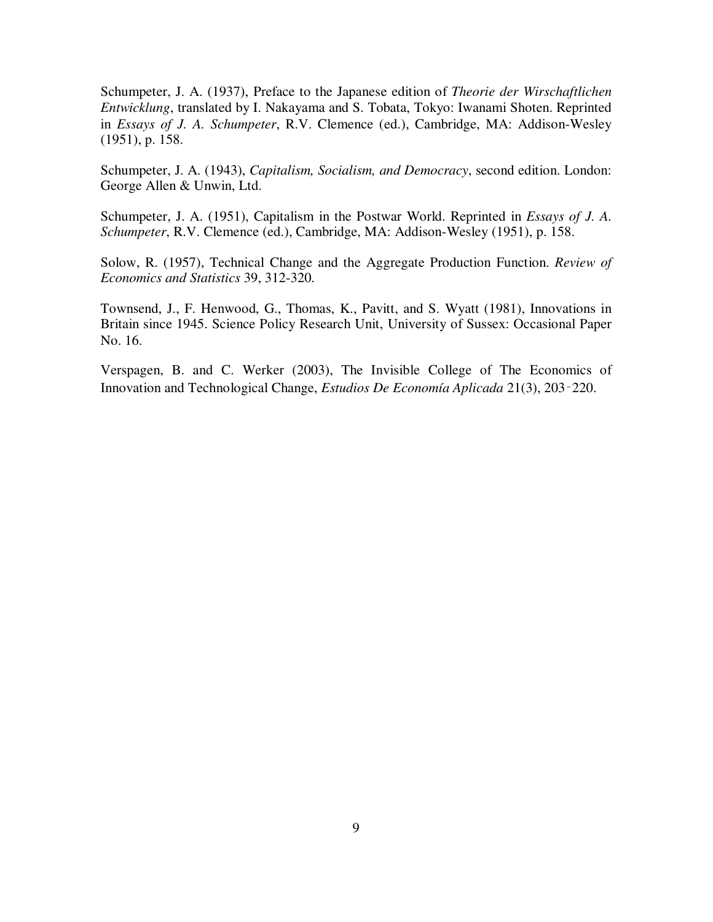Schumpeter, J. A. (1937), Preface to the Japanese edition of *Theorie der Wirschaftlichen Entwicklung*, translated by I. Nakayama and S. Tobata, Tokyo: Iwanami Shoten. Reprinted in *Essays of J. A. Schumpeter*, R.V. Clemence (ed.), Cambridge, MA: Addison-Wesley (1951), p. 158.

Schumpeter, J. A. (1943), *Capitalism, Socialism, and Democracy*, second edition. London: George Allen & Unwin, Ltd.

Schumpeter, J. A. (1951), Capitalism in the Postwar World. Reprinted in *Essays of J. A. Schumpeter*, R.V. Clemence (ed.), Cambridge, MA: Addison-Wesley (1951), p. 158.

Solow, R. (1957), Technical Change and the Aggregate Production Function. *Review of Economics and Statistics* 39, 312-320.

Townsend, J., F. Henwood, G., Thomas, K., Pavitt, and S. Wyatt (1981), Innovations in Britain since 1945. Science Policy Research Unit, University of Sussex: Occasional Paper No. 16.

Verspagen, B. and C. Werker (2003), The Invisible College of The Economics of Innovation and Technological Change, *Estudios De Economía Aplicada* 21(3), 203‑220.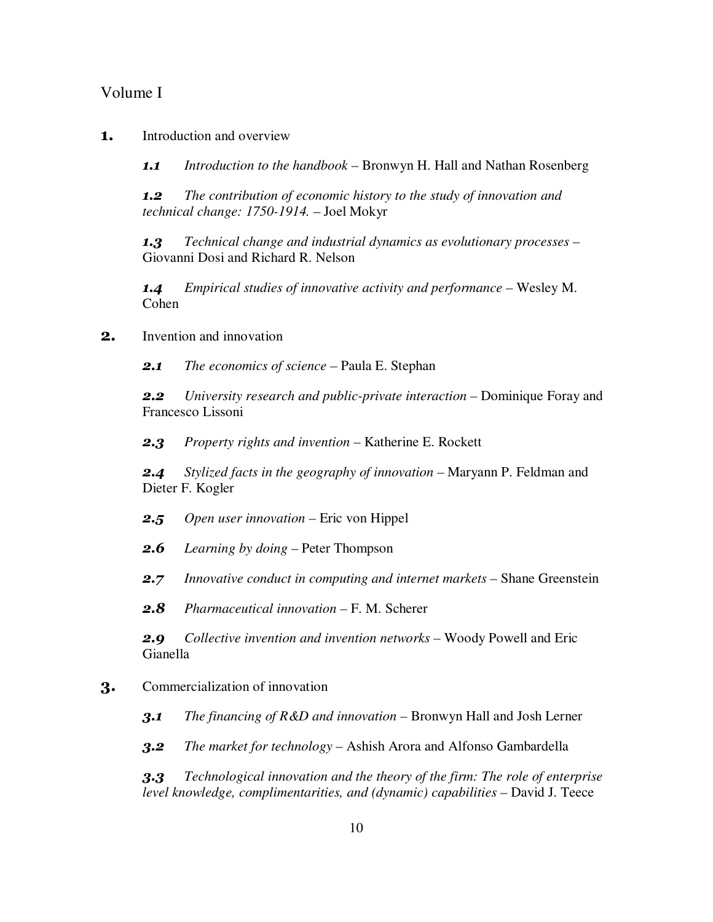# Volume I

**1.** Introduction and overview

*1.1 Introduction to the handbook –* Bronwyn H. Hall and Nathan Rosenberg

*1.2 The contribution of economic history to the study of innovation and technical change: 1750-1914.* – Joel Mokyr

*1.3 Technical change and industrial dynamics as evolutionary processes –*  Giovanni Dosi and Richard R. Nelson

*1.4 Empirical studies of innovative activity and performance –* Wesley M. Cohen

**2.** Invention and innovation

*2.1 The economics of science –* Paula E. Stephan

**2.2** *University research and public-private interaction – Dominique Foray and* Francesco Lissoni

*2.3 Property rights and invention –* Katherine E. Rockett

*2.4 Stylized facts in the geography of innovation –* Maryann P. Feldman and Dieter F. Kogler

*2.5 Open user innovation –* Eric von Hippel

*2.6 Learning by doing –* Peter Thompson

*2.7 Innovative conduct in computing and internet markets –* Shane Greenstein

*2.8 Pharmaceutical innovation –* F. M. Scherer

*2.9 Collective invention and invention networks –* Woody Powell and Eric Gianella

### **3.** Commercialization of innovation

*3.1 The financing of R&D and innovation –* Bronwyn Hall and Josh Lerner

*3.2 The market for technology –* Ashish Arora and Alfonso Gambardella

*3.3 Technological innovation and the theory of the firm: The role of enterprise level knowledge, complimentarities, and (dynamic) capabilities –* David J. Teece